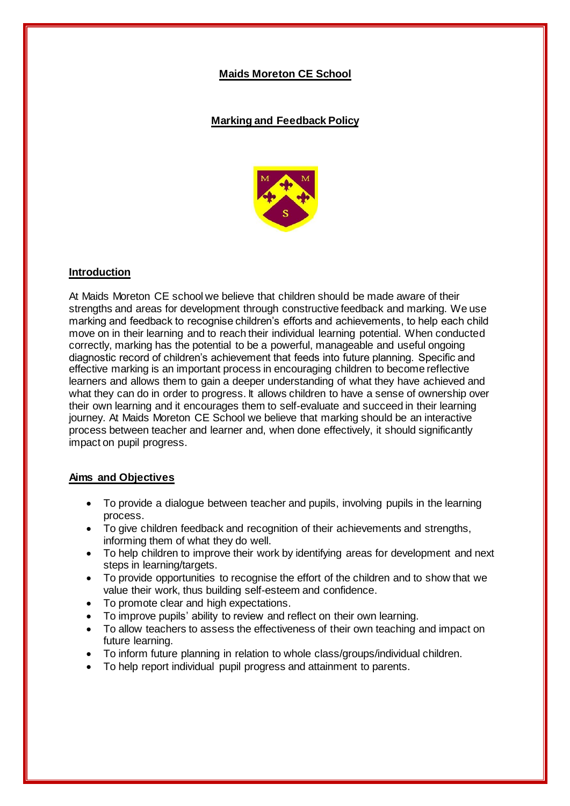## **Maids Moreton CE School**

## **Marking and Feedback Policy**



## **Introduction**

At Maids Moreton CE school we believe that children should be made aware of their strengths and areas for development through constructive feedback and marking. We use marking and feedback to recognise children's efforts and achievements, to help each child move on in their learning and to reach their individual learning potential. When conducted correctly, marking has the potential to be a powerful, manageable and useful ongoing diagnostic record of children's achievement that feeds into future planning. Specific and effective marking is an important process in encouraging children to become reflective learners and allows them to gain a deeper understanding of what they have achieved and what they can do in order to progress. It allows children to have a sense of ownership over their own learning and it encourages them to self-evaluate and succeed in their learning journey. At Maids Moreton CE School we believe that marking should be an interactive process between teacher and learner and, when done effectively, it should significantly impact on pupil progress.

### **Aims and Objectives**

- To provide a dialogue between teacher and pupils, involving pupils in the learning process.
- To give children feedback and recognition of their achievements and strengths, informing them of what they do well.
- To help children to improve their work by identifying areas for development and next steps in learning/targets.
- To provide opportunities to recognise the effort of the children and to show that we value their work, thus building self-esteem and confidence.
- To promote clear and high expectations.
- To improve pupils' ability to review and reflect on their own learning.
- To allow teachers to assess the effectiveness of their own teaching and impact on future learning.
- To inform future planning in relation to whole class/groups/individual children.
- To help report individual pupil progress and attainment to parents.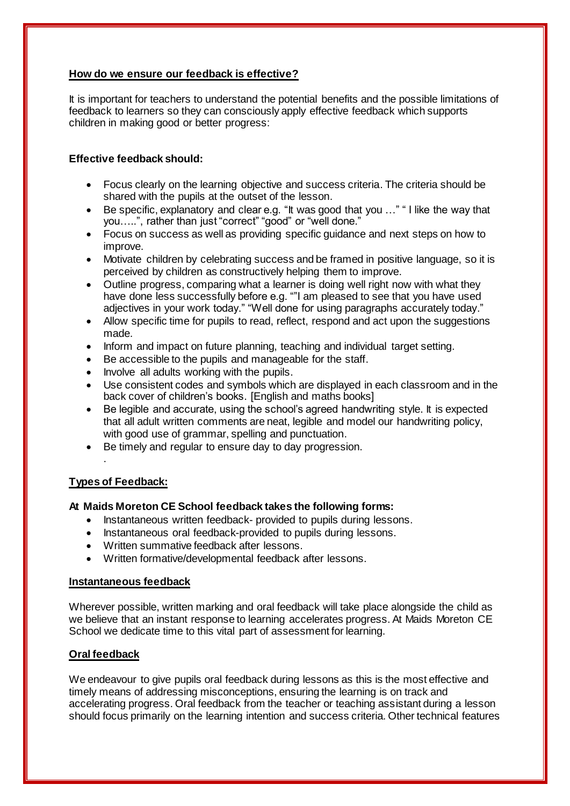## **How do we ensure our feedback is effective?**

It is important for teachers to understand the potential benefits and the possible limitations of feedback to learners so they can consciously apply effective feedback which supports children in making good or better progress:

## **Effective feedback should:**

- Focus clearly on the learning objective and success criteria. The criteria should be shared with the pupils at the outset of the lesson.
- Be specific, explanatory and clear e.g. "It was good that you ..." "I like the way that you…..", rather than just "correct" "good" or "well done."
- Focus on success as well as providing specific guidance and next steps on how to improve.
- Motivate children by celebrating success and be framed in positive language, so it is perceived by children as constructively helping them to improve.
- Outline progress, comparing what a learner is doing well right now with what they have done less successfully before e.g. ""I am pleased to see that you have used adjectives in your work today." "Well done for using paragraphs accurately today."
- Allow specific time for pupils to read, reflect, respond and act upon the suggestions made.
- Inform and impact on future planning, teaching and individual target setting.
- Be accessible to the pupils and manageable for the staff.
- Involve all adults working with the pupils.
- Use consistent codes and symbols which are displayed in each classroom and in the back cover of children's books. [English and maths books]
- Be legible and accurate, using the school's agreed handwriting style. It is expected that all adult written comments are neat, legible and model our handwriting policy, with good use of grammar, spelling and punctuation.
- Be timely and regular to ensure day to day progression.

### **Types of Feedback:**

.

### **At Maids Moreton CE School feedback takes the following forms:**

- Instantaneous written feedback- provided to pupils during lessons.
- Instantaneous oral feedback-provided to pupils during lessons.
- Written summative feedback after lessons.
- Written formative/developmental feedback after lessons.

#### **Instantaneous feedback**

Wherever possible, written marking and oral feedback will take place alongside the child as we believe that an instant response to learning accelerates progress. At Maids Moreton CE School we dedicate time to this vital part of assessment for learning.

### **Oral feedback**

We endeavour to give pupils oral feedback during lessons as this is the most effective and timely means of addressing misconceptions, ensuring the learning is on track and accelerating progress. Oral feedback from the teacher or teaching assistant during a lesson should focus primarily on the learning intention and success criteria. Other technical features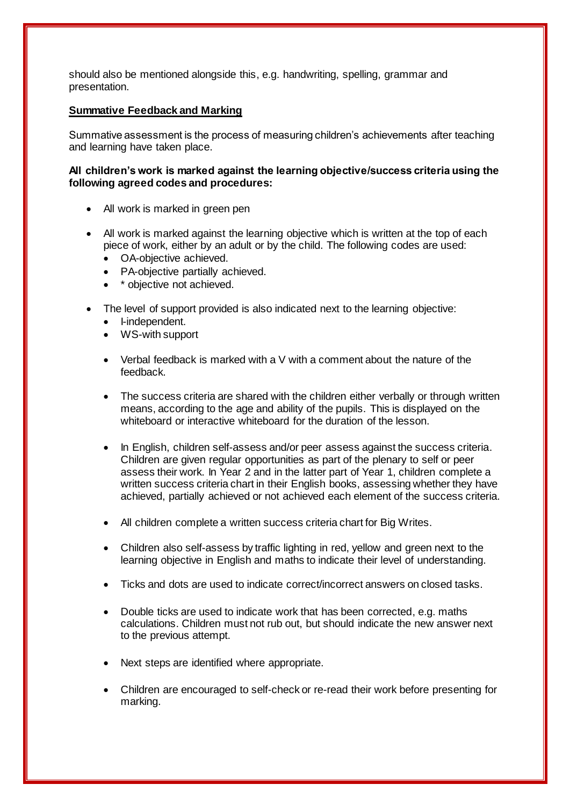should also be mentioned alongside this, e.g. handwriting, spelling, grammar and presentation.

### **Summative Feedback and Marking**

Summative assessment is the process of measuring children's achievements after teaching and learning have taken place.

#### **All children's work is marked against the learning objective/success criteria using the following agreed codes and procedures:**

- All work is marked in green pen
- All work is marked against the learning objective which is written at the top of each piece of work, either by an adult or by the child. The following codes are used:
	- OA-objective achieved.
	- PA-objective partially achieved.
	- \* objective not achieved.
- The level of support provided is also indicated next to the learning objective:
	- I-independent.
	- WS-with support
	- Verbal feedback is marked with a V with a comment about the nature of the feedback.
	- The success criteria are shared with the children either verbally or through written means, according to the age and ability of the pupils. This is displayed on the whiteboard or interactive whiteboard for the duration of the lesson.
	- In English, children self-assess and/or peer assess against the success criteria. Children are given regular opportunities as part of the plenary to self or peer assess their work. In Year 2 and in the latter part of Year 1, children complete a written success criteria chart in their English books, assessing whether they have achieved, partially achieved or not achieved each element of the success criteria.
	- All children complete a written success criteria chart for Big Writes.
	- Children also self-assess by traffic lighting in red, yellow and green next to the learning objective in English and maths to indicate their level of understanding.
	- Ticks and dots are used to indicate correct/incorrect answers on closed tasks.
	- Double ticks are used to indicate work that has been corrected, e.g. maths calculations. Children must not rub out, but should indicate the new answer next to the previous attempt.
	- Next steps are identified where appropriate.
	- Children are encouraged to self-check or re-read their work before presenting for marking.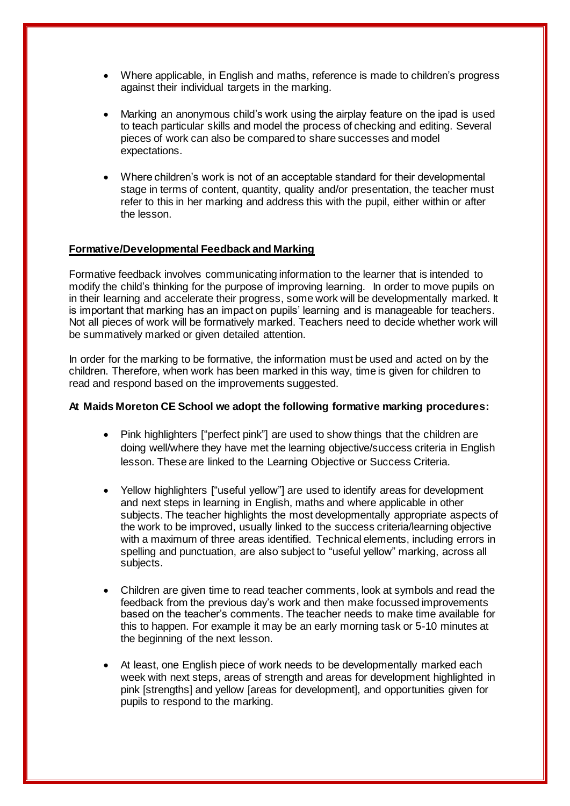- Where applicable, in English and maths, reference is made to children's progress against their individual targets in the marking.
- Marking an anonymous child's work using the airplay feature on the ipad is used to teach particular skills and model the process of checking and editing. Several pieces of work can also be compared to share successes and model expectations.
- Where children's work is not of an acceptable standard for their developmental stage in terms of content, quantity, quality and/or presentation, the teacher must refer to this in her marking and address this with the pupil, either within or after the lesson.

### **Formative/Developmental Feedback and Marking**

Formative feedback involves communicating information to the learner that is intended to modify the child's thinking for the purpose of improving learning. In order to move pupils on in their learning and accelerate their progress, some work will be developmentally marked. It is important that marking has an impact on pupils' learning and is manageable for teachers. Not all pieces of work will be formatively marked. Teachers need to decide whether work will be summatively marked or given detailed attention.

In order for the marking to be formative, the information must be used and acted on by the children. Therefore, when work has been marked in this way, time is given for children to read and respond based on the improvements suggested.

#### **At Maids Moreton CE School we adopt the following formative marking procedures:**

- Pink highlighters ["perfect pink"] are used to show things that the children are doing well/where they have met the learning objective/success criteria in English lesson. These are linked to the Learning Objective or Success Criteria.
- Yellow highlighters ["useful yellow"] are used to identify areas for development and next steps in learning in English, maths and where applicable in other subjects. The teacher highlights the most developmentally appropriate aspects of the work to be improved, usually linked to the success criteria/learning objective with a maximum of three areas identified. Technical elements, including errors in spelling and punctuation, are also subject to "useful yellow" marking, across all subjects.
- Children are given time to read teacher comments, look at symbols and read the feedback from the previous day's work and then make focussed improvements based on the teacher's comments. The teacher needs to make time available for this to happen. For example it may be an early morning task or 5-10 minutes at the beginning of the next lesson.
- At least, one English piece of work needs to be developmentally marked each week with next steps, areas of strength and areas for development highlighted in pink [strengths] and yellow [areas for development], and opportunities given for pupils to respond to the marking.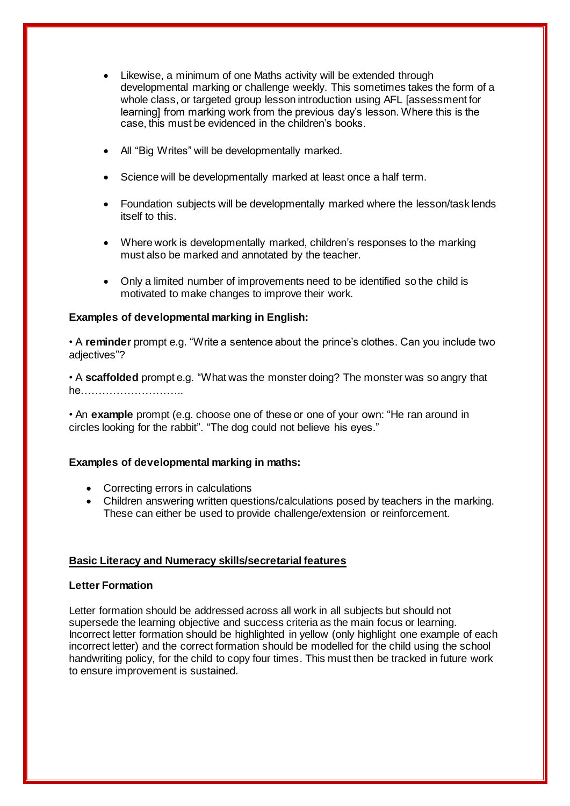- Likewise, a minimum of one Maths activity will be extended through developmental marking or challenge weekly. This sometimes takes the form of a whole class, or targeted group lesson introduction using AFL [assessment for learning] from marking work from the previous day's lesson. Where this is the case, this must be evidenced in the children's books.
- All "Big Writes" will be developmentally marked.
- Science will be developmentally marked at least once a half term.
- Foundation subjects will be developmentally marked where the lesson/task lends itself to this.
- Where work is developmentally marked, children's responses to the marking must also be marked and annotated by the teacher.
- Only a limited number of improvements need to be identified so the child is motivated to make changes to improve their work.

## **Examples of developmental marking in English:**

• A **reminder** prompt e.g. "Write a sentence about the prince's clothes. Can you include two adiectives"?

• A **scaffolded** prompt e.g. "What was the monster doing? The monster was so angry that he………………………..

• An **example** prompt (e.g. choose one of these or one of your own: "He ran around in circles looking for the rabbit". "The dog could not believe his eyes."

### **Examples of developmental marking in maths:**

- Correcting errors in calculations
- Children answering written questions/calculations posed by teachers in the marking. These can either be used to provide challenge/extension or reinforcement.

### **Basic Literacy and Numeracy skills/secretarial features**

### **Letter Formation**

Letter formation should be addressed across all work in all subjects but should not supersede the learning objective and success criteria as the main focus or learning. Incorrect letter formation should be highlighted in yellow (only highlight one example of each incorrect letter) and the correct formation should be modelled for the child using the school handwriting policy, for the child to copy four times. This must then be tracked in future work to ensure improvement is sustained.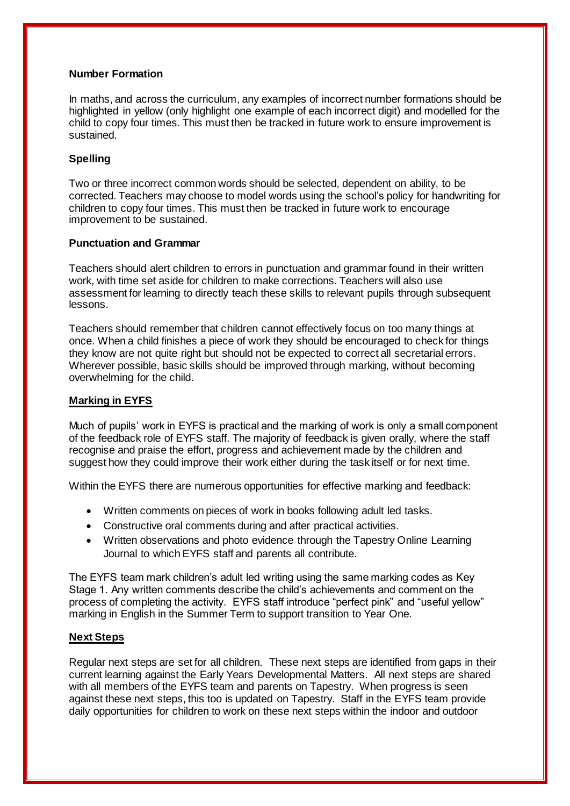#### **Number Formation**

In maths, and across the curriculum, any examples of incorrect number formations should be highlighted in yellow (only highlight one example of each incorrect digit) and modelled for the child to copy four times. This must then be tracked in future work to ensure improvement is sustained.

### **Spelling**

Two or three incorrect common words should be selected, dependent on ability, to be corrected. Teachers may choose to model words using the school's policy for handwriting for children to copy four times. This must then be tracked in future work to encourage improvement to be sustained.

#### **Punctuation and Grammar**

Teachers should alert children to errors in punctuation and grammar found in their written work, with time set aside for children to make corrections. Teachers will also use assessment for learning to directly teach these skills to relevant pupils through subsequent lessons.

Teachers should remember that children cannot effectively focus on too many things at once. When a child finishes a piece of work they should be encouraged to check for things they know are not quite right but should not be expected to correct all secretarial errors. Wherever possible, basic skills should be improved through marking, without becoming overwhelming for the child.

### **Marking in EYFS**

Much of pupils' work in EYFS is practical and the marking of work is only a small component of the feedback role of EYFS staff. The majority of feedback is given orally, where the staff recognise and praise the effort, progress and achievement made by the children and suggest how they could improve their work either during the task itself or for next time.

Within the EYFS there are numerous opportunities for effective marking and feedback:

- Written comments on pieces of work in books following adult led tasks.
- Constructive oral comments during and after practical activities.
- Written observations and photo evidence through the Tapestry Online Learning Journal to which EYFS staff and parents all contribute.

The EYFS team mark children's adult led writing using the same marking codes as Key Stage 1. Any written comments describe the child's achievements and comment on the process of completing the activity. EYFS staff introduce "perfect pink" and "useful yellow" marking in English in the Summer Term to support transition to Year One.

### **Next Steps**

Regular next steps are set for all children. These next steps are identified from gaps in their current learning against the Early Years Developmental Matters. All next steps are shared with all members of the EYFS team and parents on Tapestry. When progress is seen against these next steps, this too is updated on Tapestry. Staff in the EYFS team provide daily opportunities for children to work on these next steps within the indoor and outdoor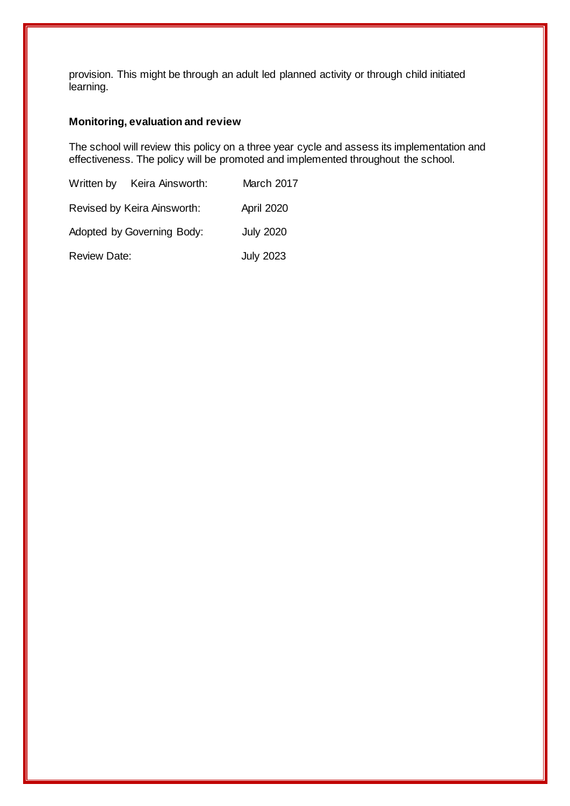provision. This might be through an adult led planned activity or through child initiated learning.

# **Monitoring, evaluation and review**

The school will review this policy on a three year cycle and assess its implementation and effectiveness. The policy will be promoted and implemented throughout the school.

|                             | Written by Keira Ainsworth: | March 2017        |
|-----------------------------|-----------------------------|-------------------|
| Revised by Keira Ainsworth: |                             | <b>April 2020</b> |
| Adopted by Governing Body:  |                             | <b>July 2020</b>  |
| <b>Review Date:</b>         | <b>July 2023</b>            |                   |